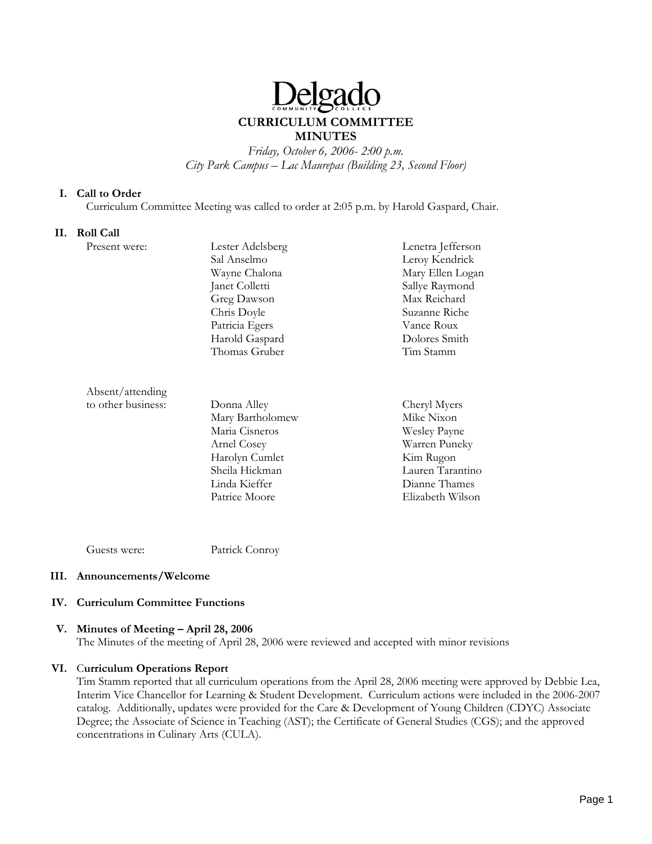# **CURRICULUM COMMITTEE MINUTES**

*Friday, October 6, 2006- 2:00 p.m. City Park Campus – Lac Maurepas (Building 23, Second Floor)* 

#### **I. Call to Order**

Curriculum Committee Meeting was called to order at 2:05 p.m. by Harold Gaspard, Chair.

#### **II. Roll Call**

| Present were:      | Lester Adelsberg | Lenetra Jefferson |
|--------------------|------------------|-------------------|
|                    | Sal Anselmo      | Leroy Kendrick    |
|                    | Wayne Chalona    | Mary Ellen Logan  |
|                    | Janet Colletti   | Sallye Raymond    |
|                    | Greg Dawson      | Max Reichard      |
|                    | Chris Doyle      | Suzanne Riche     |
|                    | Patricia Egers   | Vance Roux        |
|                    | Harold Gaspard   | Dolores Smith     |
|                    | Thomas Gruber    | Tim Stamm         |
|                    |                  |                   |
|                    |                  |                   |
| Absent/attending   |                  |                   |
| to other business: | Donna Alley      | Cheryl Myers      |
|                    | Mary Bartholomew | Mike Nixon        |
|                    | Maria Cisneros   | Wesley Payne      |
|                    | Arnel Cosey      | Warren Puneky     |
|                    | Harolyn Cumlet   | Kim Rugon         |
|                    | Sheila Hickman   | Lauren Tarantino  |
|                    | Linda Kieffer    | Dianne Thames     |
|                    | Patrice Moore    | Elizabeth Wilson  |
|                    |                  |                   |
|                    |                  |                   |

Guests were: Patrick Conroy

#### **III. Announcements/Welcome**

## **IV. Curriculum Committee Functions**

## **V. Minutes of Meeting – April 28, 2006**

The Minutes of the meeting of April 28, 2006 were reviewed and accepted with minor revisions

## **VI.** C**urriculum Operations Report**

Tim Stamm reported that all curriculum operations from the April 28, 2006 meeting were approved by Debbie Lea, Interim Vice Chancellor for Learning & Student Development. Curriculum actions were included in the 2006-2007 catalog. Additionally, updates were provided for the Care & Development of Young Children (CDYC) Associate Degree; the Associate of Science in Teaching (AST); the Certificate of General Studies (CGS); and the approved concentrations in Culinary Arts (CULA).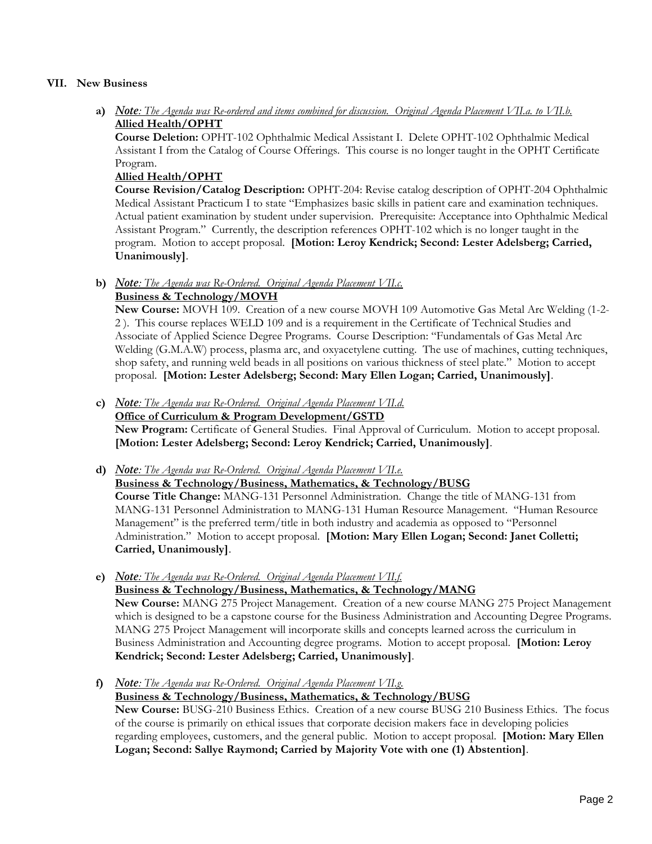## **VII. New Business**

**a)** *Note: The Agenda was Re-ordered and items combined for discussion. Original Agenda Placement VII.a. to VII.b.* **Allied Health/OPHT**

**Course Deletion:** OPHT-102 Ophthalmic Medical Assistant I. Delete OPHT-102 Ophthalmic Medical Assistant I from the Catalog of Course Offerings. This course is no longer taught in the OPHT Certificate Program.

## **Allied Health/OPHT**

**Course Revision/Catalog Description:** OPHT-204: Revise catalog description of OPHT-204 Ophthalmic Medical Assistant Practicum I to state "Emphasizes basic skills in patient care and examination techniques. Actual patient examination by student under supervision. Prerequisite: Acceptance into Ophthalmic Me dical Assistant Program." Currently, the description references OPHT-102 which is no longer taught in the program. Motion to accept proposal. **[Motion: Leroy Kendrick; Second: Lester Adelsberg; Carried, Unanimously]**.

**b)** *Note: The Agenda was Re-Ordered. Original Agenda Placement VII.c.*

# **Business & Technology/MOVH**

New Course: MOVH 109. Creation of a new course MOVH 109 Automotive Gas Metal Arc Welding (1-2-2 ). This course replaces WELD 109 and is a requirement in the Certificate of Technical Studies and Associate of Applied Science Degree Programs. Course Description: "Fundamentals of Gas Metal Arc Welding (G.M.A.W) process, plasma arc, and oxyacetylene cutting. The use of machines, cutting techniques, shop safety, and running weld beads in all positions on various thickness of steel plate." Motion to accept proposal. **[Motion: Lester Adelsberg; Second: Mary Ellen Logan; Carried, Unanimously]**.

**c)** *Note: The Agenda was Re-Ordered. Original Agenda Placement VII.d.* **Office of Curriculum & Program Development/GSTD New Program:** Certificate of General Studies. Final Approval of Curriculum. Motion to accept proposal. **[Motion: Lester Adelsberg; Second: Leroy Kendrick; Carried, Unanimously]**.

**d)** *Note: The Agenda was Re-Ordered. Original Agenda Placement VII.e.*

**Business & Technology/Business, Mathematics, & Technology/BUSG Course Title Change:** MANG-131 Personnel Administration. Change the title of MANG-131 from MANG-131 Personnel Administration to MANG-131 Human Resource Management. "Human R esource Management" is the preferred term/title in both industry and academia as opposed to "Personnel Administration." Motion t o accept proposal. **[Motion: Mary Ellen Logan; Second: Janet Colletti; Carried, Unanimously]**.

**e)** *Note: The Agenda was Re-Ordered. Original Agenda Placement VII.f.* **Business & Technology/Business, Mathematics, & Technology/MANG New Course:** MANG 275 Project Management. Creation of a new course MANG 275 Project Management which is designed to be a capstone course for the Business Administration and Accounting Degree Pro grams. MANG 275 Project Management will incorporate skills and concepts learned across the curriculum in Business Administration and Accounting degree programs. Motion to accept proposal. **[Motion: Leroy** 

**Kendrick; Second: Lester Adelsberg; Carried, Unanimously]**.

**f)** *Note: The Agenda was Re-Ordered. Original Agenda Placement VII.g.* **Business & Technology/Business, Mathematics, & Technology/BUSG**

**New Course:** BUSG-210 Business Ethics. Creation of a new course BUSG 210 Business Ethics. Th e focus of the course is primarily on ethical issues that corporate decision makers face in developing policies regarding employees, customers, and the general public. Motion to accept proposal. **[Motio n: Mary Ellen Logan; Second: Sallye Raymond; Carried by Majority Vote with one (1) Abstention]**.